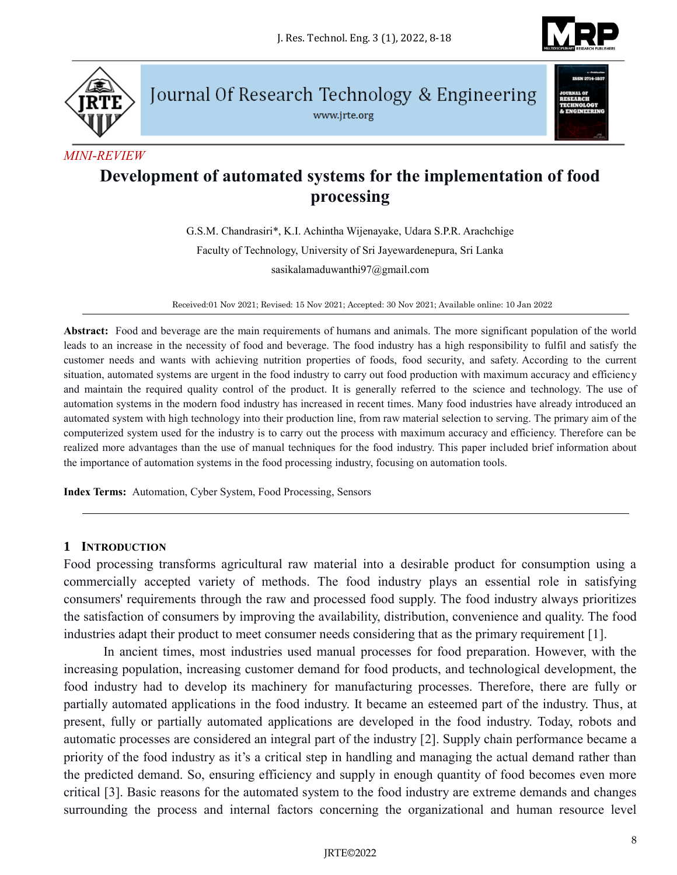



Journal Of Research Technology & Engineering

www.jrte.org



#### *MINI-REVIEW*

# **Development of automated systems for the implementation of food processing**

G.S.M. Chandrasiri\*, K.I. Achintha Wijenayake, Udara S.P.R. Arachchige Faculty of Technology, University of Sri Jayewardenepura, Sri Lanka sasikalamaduwanthi97@gmail.com

Received:01 Nov 2021; Revised: 15 Nov 2021; Accepted: 30 Nov 2021; Available online: 10 Jan 2022

**Abstract:** Food and beverage are the main requirements of humans and animals. The more significant population of the world leads to an increase in the necessity of food and beverage. The food industry has a high responsibility to fulfil and satisfy the customer needs and wants with achieving nutrition properties of foods, food security, and safety. According to the current situation, automated systems are urgent in the food industry to carry out food production with maximum accuracy and efficiency and maintain the required quality control of the product. It is generally referred to the science and technology. The use of automation systems in the modern food industry has increased in recent times. Many food industries have already introduced an automated system with high technology into their production line, from raw material selection to serving. The primary aim of the computerized system used for the industry is to carry out the process with maximum accuracy and efficiency. Therefore can be realized more advantages than the use of manual techniques for the food industry. This paper included brief information about the importance of automation systems in the food processing industry, focusing on automation tools.

**Index Terms:** Automation, Cyber System, Food Processing, Sensors

#### **1 INTRODUCTION**

Food processing transforms agricultural raw material into a desirable product for consumption using a commercially accepted variety of methods. The food industry plays an essential role in satisfying consumers' requirements through the raw and processed food supply. The food industry always prioritizes the satisfaction of consumers by improving the availability, distribution, convenience and quality. The food industries adapt their product to meet consumer needs considering that as the primary requirement [1].

In ancient times, most industries used manual processes for food preparation. However, with the increasing population, increasing customer demand for food products, and technological development, the food industry had to develop its machinery for manufacturing processes. Therefore, there are fully or partially automated applications in the food industry. It became an esteemed part of the industry. Thus, at present, fully or partially automated applications are developed in the food industry. Today, robots and automatic processes are considered an integral part of the industry [2]. Supply chain performance became a priority of the food industry as it's a critical step in handling and managing the actual demand rather than the predicted demand. So, ensuring efficiency and supply in enough quantity of food becomes even more critical [3]. Basic reasons for the automated system to the food industry are extreme demands and changes surrounding the process and internal factors concerning the organizational and human resource level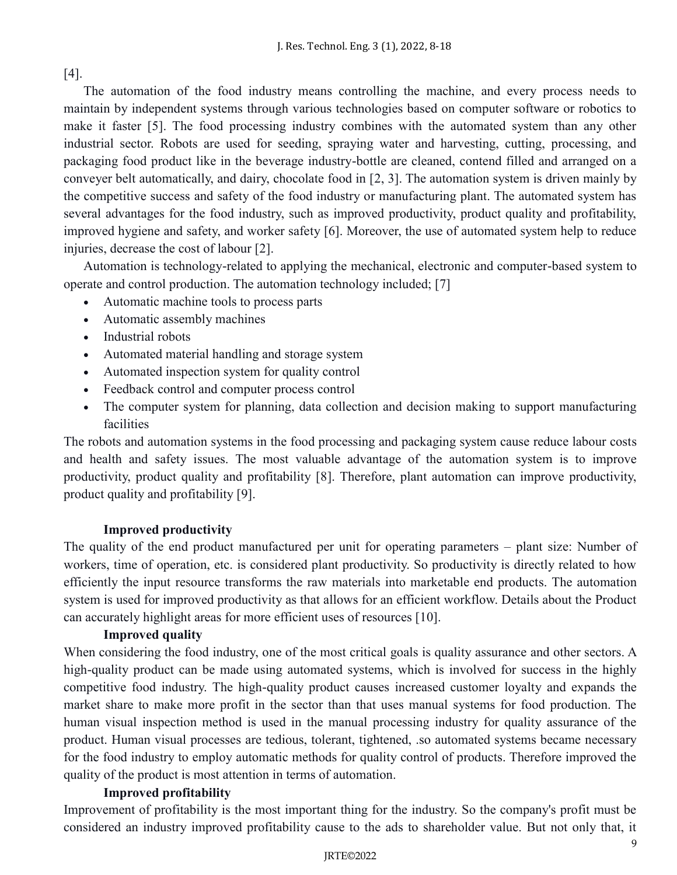[4].

The automation of the food industry means controlling the machine, and every process needs to maintain by independent systems through various technologies based on computer software or robotics to make it faster [5]. The food processing industry combines with the automated system than any other industrial sector. Robots are used for seeding, spraying water and harvesting, cutting, processing, and packaging food product like in the beverage industry-bottle are cleaned, contend filled and arranged on a conveyer belt automatically, and dairy, chocolate food in [2, 3]. The automation system is driven mainly by the competitive success and safety of the food industry or manufacturing plant. The automated system has several advantages for the food industry, such as improved productivity, product quality and profitability, improved hygiene and safety, and worker safety [6]. Moreover, the use of automated system help to reduce injuries, decrease the cost of labour [2].

Automation is technology-related to applying the mechanical, electronic and computer-based system to operate and control production. The automation technology included; [7]

- Automatic machine tools to process parts
- Automatic assembly machines
- Industrial robots
- Automated material handling and storage system
- Automated inspection system for quality control
- Feedback control and computer process control
- The computer system for planning, data collection and decision making to support manufacturing facilities

The robots and automation systems in the food processing and packaging system cause reduce labour costs and health and safety issues. The most valuable advantage of the automation system is to improve productivity, product quality and profitability [8]. Therefore, plant automation can improve productivity, product quality and profitability [9].

## **Improved productivity**

The quality of the end product manufactured per unit for operating parameters – plant size: Number of workers, time of operation, etc. is considered plant productivity. So productivity is directly related to how efficiently the input resource transforms the raw materials into marketable end products. The automation system is used for improved productivity as that allows for an efficient workflow. Details about the Product can accurately highlight areas for more efficient uses of resources [10].

## **Improved quality**

When considering the food industry, one of the most critical goals is quality assurance and other sectors. A high-quality product can be made using automated systems, which is involved for success in the highly competitive food industry. The high-quality product causes increased customer loyalty and expands the market share to make more profit in the sector than that uses manual systems for food production. The human visual inspection method is used in the manual processing industry for quality assurance of the product. Human visual processes are tedious, tolerant, tightened, .so automated systems became necessary for the food industry to employ automatic methods for quality control of products. Therefore improved the quality of the product is most attention in terms of automation.

## **Improved profitability**

Improvement of profitability is the most important thing for the industry. So the company's profit must be considered an industry improved profitability cause to the ads to shareholder value. But not only that, it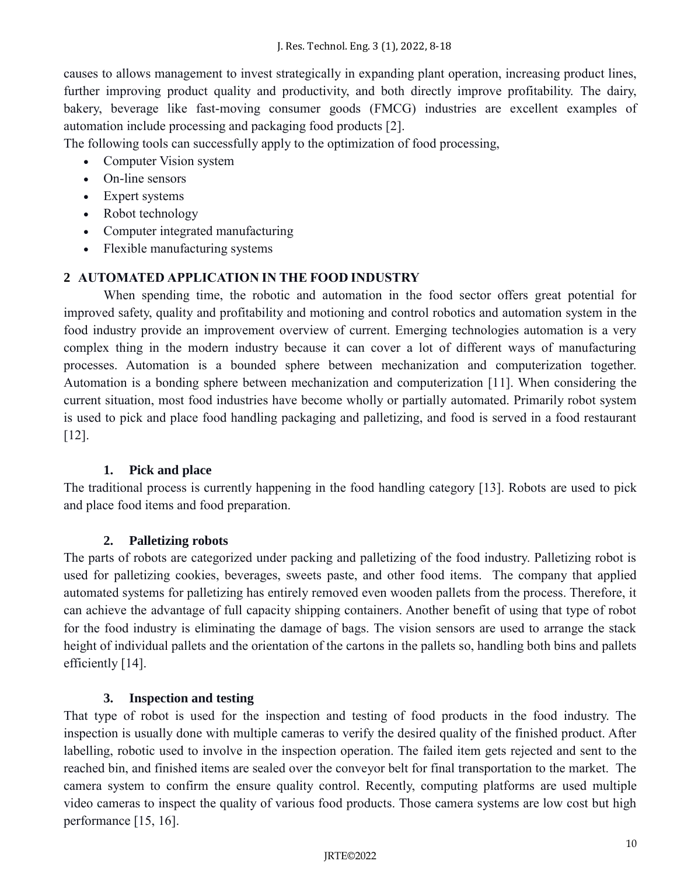causes to allows management to invest strategically in expanding plant operation, increasing product lines, further improving product quality and productivity, and both directly improve profitability. The dairy, bakery, beverage like fast-moving consumer goods (FMCG) industries are excellent examples of automation include processing and packaging food products [2].

The following tools can successfully apply to the optimization of food processing,

- Computer Vision system
- On-line sensors
- Expert systems
- Robot technology
- Computer integrated manufacturing
- Flexible manufacturing systems

# **2 AUTOMATED APPLICATION IN THE FOOD INDUSTRY**

When spending time, the robotic and automation in the food sector offers great potential for improved safety, quality and profitability and motioning and control robotics and automation system in the food industry provide an improvement overview of current. Emerging technologies automation is a very complex thing in the modern industry because it can cover a lot of different ways of manufacturing processes. Automation is a bounded sphere between mechanization and computerization together. Automation is a bonding sphere between mechanization and computerization [11]. When considering the current situation, most food industries have become wholly or partially automated. Primarily robot system is used to pick and place food handling packaging and palletizing, and food is served in a food restaurant [12].

## **1. Pick and place**

The traditional process is currently happening in the food handling category [13]. Robots are used to pick and place food items and food preparation.

## **2. Palletizing robots**

The parts of robots are categorized under packing and palletizing of the food industry. Palletizing robot is used for palletizing cookies, beverages, sweets paste, and other food items. The company that applied automated systems for palletizing has entirely removed even wooden pallets from the process. Therefore, it can achieve the advantage of full capacity shipping containers. Another benefit of using that type of robot for the food industry is eliminating the damage of bags. The vision sensors are used to arrange the stack height of individual pallets and the orientation of the cartons in the pallets so, handling both bins and pallets efficiently [14].

## **3. Inspection and testing**

That type of robot is used for the inspection and testing of food products in the food industry. The inspection is usually done with multiple cameras to verify the desired quality of the finished product. After labelling, robotic used to involve in the inspection operation. The failed item gets rejected and sent to the reached bin, and finished items are sealed over the conveyor belt for final transportation to the market. The camera system to confirm the ensure quality control. Recently, computing platforms are used multiple video cameras to inspect the quality of various food products. Those camera systems are low cost but high performance [15, 16].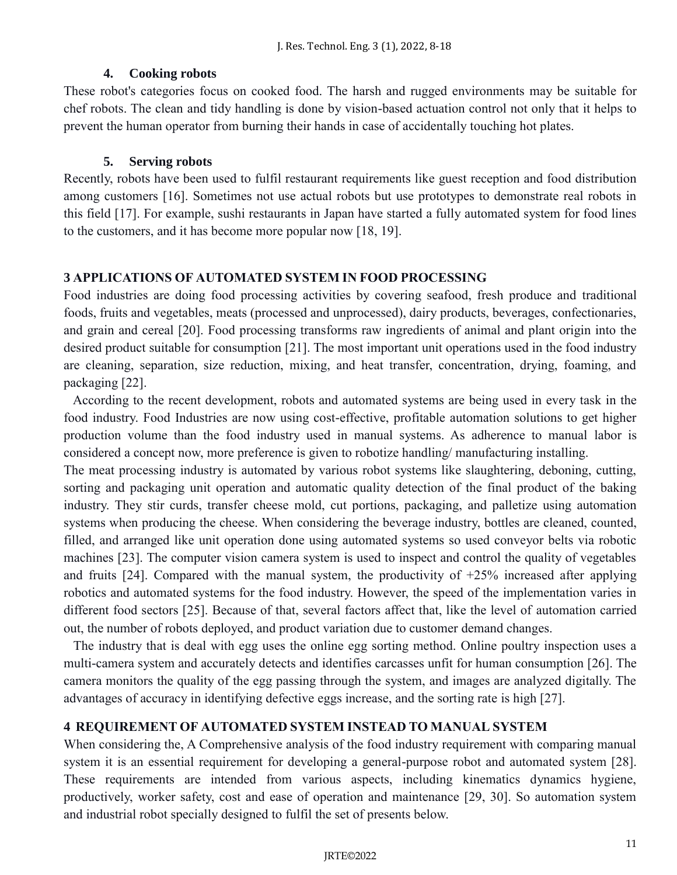#### **4. Cooking robots**

These robot's categories focus on cooked food. The harsh and rugged environments may be suitable for chef robots. The clean and tidy handling is done by vision-based actuation control not only that it helps to prevent the human operator from burning their hands in case of accidentally touching hot plates.

#### **5. Serving robots**

Recently, robots have been used to fulfil restaurant requirements like guest reception and food distribution among customers [16]. Sometimes not use actual robots but use prototypes to demonstrate real robots in this field [17]. For example, sushi restaurants in Japan have started a fully automated system for food lines to the customers, and it has become more popular now [18, 19].

#### **3 APPLICATIONS OF AUTOMATED SYSTEM IN FOOD PROCESSING**

Food industries are doing food processing activities by covering seafood, fresh produce and traditional foods, fruits and vegetables, meats (processed and unprocessed), dairy products, beverages, confectionaries, and grain and cereal [20]. Food processing transforms raw ingredients of animal and plant origin into the desired product suitable for consumption [21]. The most important unit operations used in the food industry are cleaning, separation, size reduction, mixing, and heat transfer, concentration, drying, foaming, and packaging [22].

 According to the recent development, robots and automated systems are being used in every task in the food industry. Food Industries are now using cost-effective, profitable automation solutions to get higher production volume than the food industry used in manual systems. As adherence to manual labor is considered a concept now, more preference is given to robotize handling/ manufacturing installing.

The meat processing industry is automated by various robot systems like slaughtering, deboning, cutting, sorting and packaging unit operation and automatic quality detection of the final product of the baking industry. They stir curds, transfer cheese mold, cut portions, packaging, and palletize using automation systems when producing the cheese. When considering the beverage industry, bottles are cleaned, counted, filled, and arranged like unit operation done using automated systems so used conveyor belts via robotic machines [23]. The computer vision camera system is used to inspect and control the quality of vegetables and fruits [24]. Compared with the manual system, the productivity of  $+25%$  increased after applying robotics and automated systems for the food industry. However, the speed of the implementation varies in different food sectors [25]. Because of that, several factors affect that, like the level of automation carried out, the number of robots deployed, and product variation due to customer demand changes.

 The industry that is deal with egg uses the online egg sorting method. Online poultry inspection uses a multi-camera system and accurately detects and identifies carcasses unfit for human consumption [26]. The camera monitors the quality of the egg passing through the system, and images are analyzed digitally. The advantages of accuracy in identifying defective eggs increase, and the sorting rate is high [27].

#### **4 REQUIREMENT OF AUTOMATED SYSTEM INSTEAD TO MANUAL SYSTEM**

When considering the, A Comprehensive analysis of the food industry requirement with comparing manual system it is an essential requirement for developing a general-purpose robot and automated system [28]. These requirements are intended from various aspects, including kinematics dynamics hygiene, productively, worker safety, cost and ease of operation and maintenance [29, 30]. So automation system and industrial robot specially designed to fulfil the set of presents below.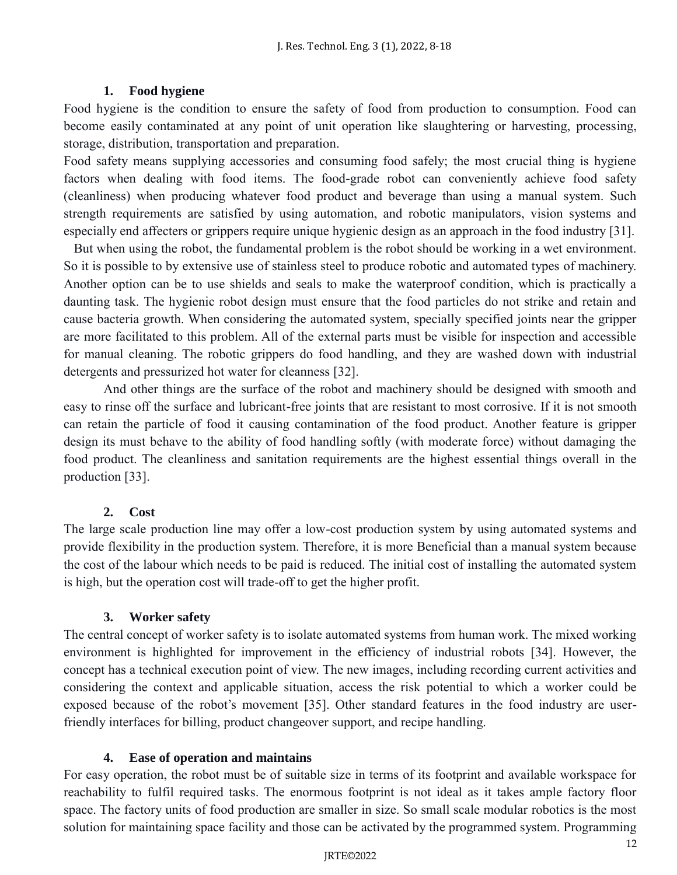## **1. Food hygiene**

Food hygiene is the condition to ensure the safety of food from production to consumption. Food can become easily contaminated at any point of unit operation like slaughtering or harvesting, processing, storage, distribution, transportation and preparation.

Food safety means supplying accessories and consuming food safely; the most crucial thing is hygiene factors when dealing with food items. The food-grade robot can conveniently achieve food safety (cleanliness) when producing whatever food product and beverage than using a manual system. Such strength requirements are satisfied by using automation, and robotic manipulators, vision systems and especially end affecters or grippers require unique hygienic design as an approach in the food industry [31].

But when using the robot, the fundamental problem is the robot should be working in a wet environment. So it is possible to by extensive use of stainless steel to produce robotic and automated types of machinery. Another option can be to use shields and seals to make the waterproof condition, which is practically a daunting task. The hygienic robot design must ensure that the food particles do not strike and retain and cause bacteria growth. When considering the automated system, specially specified joints near the gripper are more facilitated to this problem. All of the external parts must be visible for inspection and accessible for manual cleaning. The robotic grippers do food handling, and they are washed down with industrial detergents and pressurized hot water for cleanness [32].

And other things are the surface of the robot and machinery should be designed with smooth and easy to rinse off the surface and lubricant-free joints that are resistant to most corrosive. If it is not smooth can retain the particle of food it causing contamination of the food product. Another feature is gripper design its must behave to the ability of food handling softly (with moderate force) without damaging the food product. The cleanliness and sanitation requirements are the highest essential things overall in the production [33].

# **2. Cost**

The large scale production line may offer a low-cost production system by using automated systems and provide flexibility in the production system. Therefore, it is more Beneficial than a manual system because the cost of the labour which needs to be paid is reduced. The initial cost of installing the automated system is high, but the operation cost will trade-off to get the higher profit.

## **3. Worker safety**

The central concept of worker safety is to isolate automated systems from human work. The mixed working environment is highlighted for improvement in the efficiency of industrial robots [34]. However, the concept has a technical execution point of view. The new images, including recording current activities and considering the context and applicable situation, access the risk potential to which a worker could be exposed because of the robot's movement [35]. Other standard features in the food industry are userfriendly interfaces for billing, product changeover support, and recipe handling.

## **4. Ease of operation and maintains**

For easy operation, the robot must be of suitable size in terms of its footprint and available workspace for reachability to fulfil required tasks. The enormous footprint is not ideal as it takes ample factory floor space. The factory units of food production are smaller in size. So small scale modular robotics is the most solution for maintaining space facility and those can be activated by the programmed system. Programming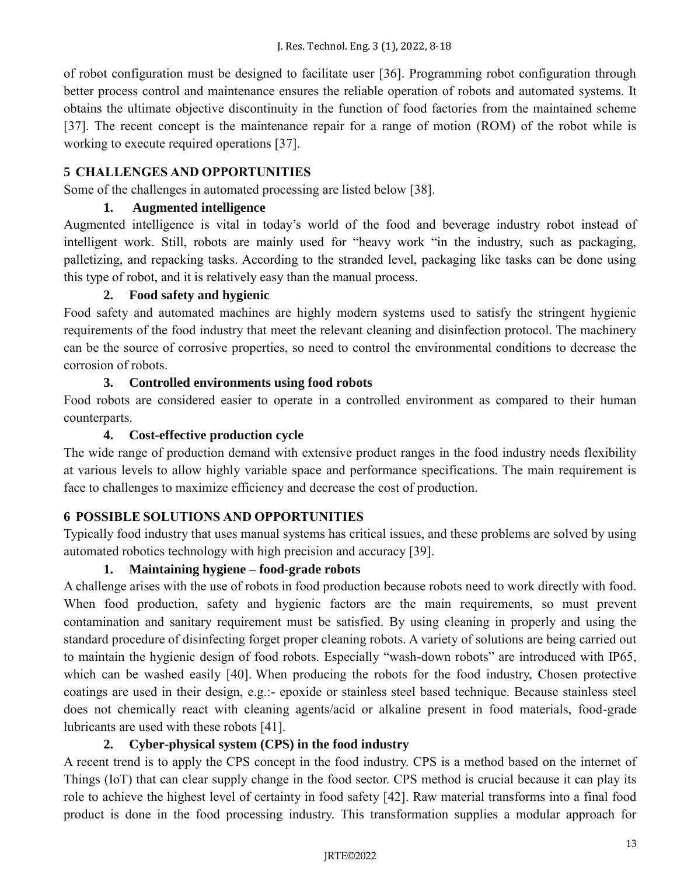of robot configuration must be designed to facilitate user [36]. Programming robot configuration through better process control and maintenance ensures the reliable operation of robots and automated systems. It obtains the ultimate objective discontinuity in the function of food factories from the maintained scheme [37]. The recent concept is the maintenance repair for a range of motion (ROM) of the robot while is working to execute required operations [37].

# **5 CHALLENGES AND OPPORTUNITIES**

Some of the challenges in automated processing are listed below [38].

# **1. Augmented intelligence**

Augmented intelligence is vital in today's world of the food and beverage industry robot instead of intelligent work. Still, robots are mainly used for "heavy work "in the industry, such as packaging, palletizing, and repacking tasks. According to the stranded level, packaging like tasks can be done using this type of robot, and it is relatively easy than the manual process.

# **2. Food safety and hygienic**

Food safety and automated machines are highly modern systems used to satisfy the stringent hygienic requirements of the food industry that meet the relevant cleaning and disinfection protocol. The machinery can be the source of corrosive properties, so need to control the environmental conditions to decrease the corrosion of robots.

# **3. Controlled environments using food robots**

Food robots are considered easier to operate in a controlled environment as compared to their human counterparts.

# **4. Cost-effective production cycle**

The wide range of production demand with extensive product ranges in the food industry needs flexibility at various levels to allow highly variable space and performance specifications. The main requirement is face to challenges to maximize efficiency and decrease the cost of production.

# **6 POSSIBLE SOLUTIONS AND OPPORTUNITIES**

Typically food industry that uses manual systems has critical issues, and these problems are solved by using automated robotics technology with high precision and accuracy [39].

## **1. Maintaining hygiene – food-grade robots**

A challenge arises with the use of robots in food production because robots need to work directly with food. When food production, safety and hygienic factors are the main requirements, so must prevent contamination and sanitary requirement must be satisfied. By using cleaning in properly and using the standard procedure of disinfecting forget proper cleaning robots. A variety of solutions are being carried out to maintain the hygienic design of food robots. Especially "wash-down robots" are introduced with IP65, which can be washed easily [40]. When producing the robots for the food industry, Chosen protective coatings are used in their design, e.g.:- epoxide or stainless steel based technique. Because stainless steel does not chemically react with cleaning agents/acid or alkaline present in food materials, food-grade lubricants are used with these robots [41].

# **2. Cyber-physical system (CPS) in the food industry**

A recent trend is to apply the CPS concept in the food industry. CPS is a method based on the internet of Things (IoT) that can clear supply change in the food sector. CPS method is crucial because it can play its role to achieve the highest level of certainty in food safety [42]. Raw material transforms into a final food product is done in the food processing industry. This transformation supplies a modular approach for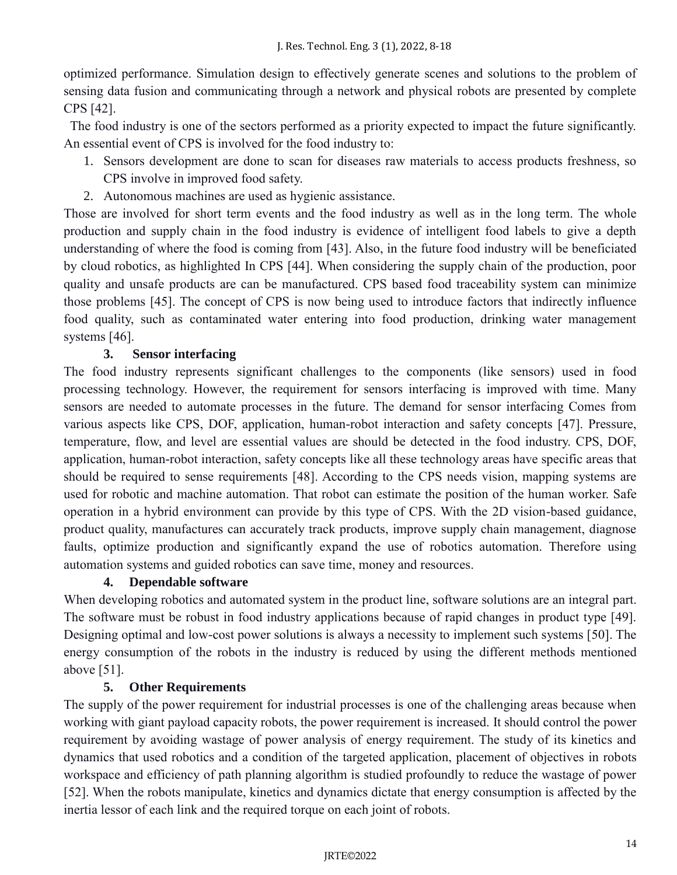optimized performance. Simulation design to effectively generate scenes and solutions to the problem of sensing data fusion and communicating through a network and physical robots are presented by complete CPS [42].

 The food industry is one of the sectors performed as a priority expected to impact the future significantly. An essential event of CPS is involved for the food industry to:

- 1. Sensors development are done to scan for diseases raw materials to access products freshness, so CPS involve in improved food safety.
- 2. Autonomous machines are used as hygienic assistance.

Those are involved for short term events and the food industry as well as in the long term. The whole production and supply chain in the food industry is evidence of intelligent food labels to give a depth understanding of where the food is coming from [43]. Also, in the future food industry will be beneficiated by cloud robotics, as highlighted In CPS [44]. When considering the supply chain of the production, poor quality and unsafe products are can be manufactured. CPS based food traceability system can minimize those problems [45]. The concept of CPS is now being used to introduce factors that indirectly influence food quality, such as contaminated water entering into food production, drinking water management systems [46].

## **3. Sensor interfacing**

The food industry represents significant challenges to the components (like sensors) used in food processing technology. However, the requirement for sensors interfacing is improved with time. Many sensors are needed to automate processes in the future. The demand for sensor interfacing Comes from various aspects like CPS, DOF, application, human-robot interaction and safety concepts [47]. Pressure, temperature, flow, and level are essential values are should be detected in the food industry. CPS, DOF, application, human-robot interaction, safety concepts like all these technology areas have specific areas that should be required to sense requirements [48]. According to the CPS needs vision, mapping systems are used for robotic and machine automation. That robot can estimate the position of the human worker. Safe operation in a hybrid environment can provide by this type of CPS. With the 2D vision-based guidance, product quality, manufactures can accurately track products, improve supply chain management, diagnose faults, optimize production and significantly expand the use of robotics automation. Therefore using automation systems and guided robotics can save time, money and resources.

## **4. Dependable software**

When developing robotics and automated system in the product line, software solutions are an integral part. The software must be robust in food industry applications because of rapid changes in product type [49]. Designing optimal and low-cost power solutions is always a necessity to implement such systems [50]. The energy consumption of the robots in the industry is reduced by using the different methods mentioned above [51].

## **5. Other Requirements**

The supply of the power requirement for industrial processes is one of the challenging areas because when working with giant payload capacity robots, the power requirement is increased. It should control the power requirement by avoiding wastage of power analysis of energy requirement. The study of its kinetics and dynamics that used robotics and a condition of the targeted application, placement of objectives in robots workspace and efficiency of path planning algorithm is studied profoundly to reduce the wastage of power [52]. When the robots manipulate, kinetics and dynamics dictate that energy consumption is affected by the inertia lessor of each link and the required torque on each joint of robots.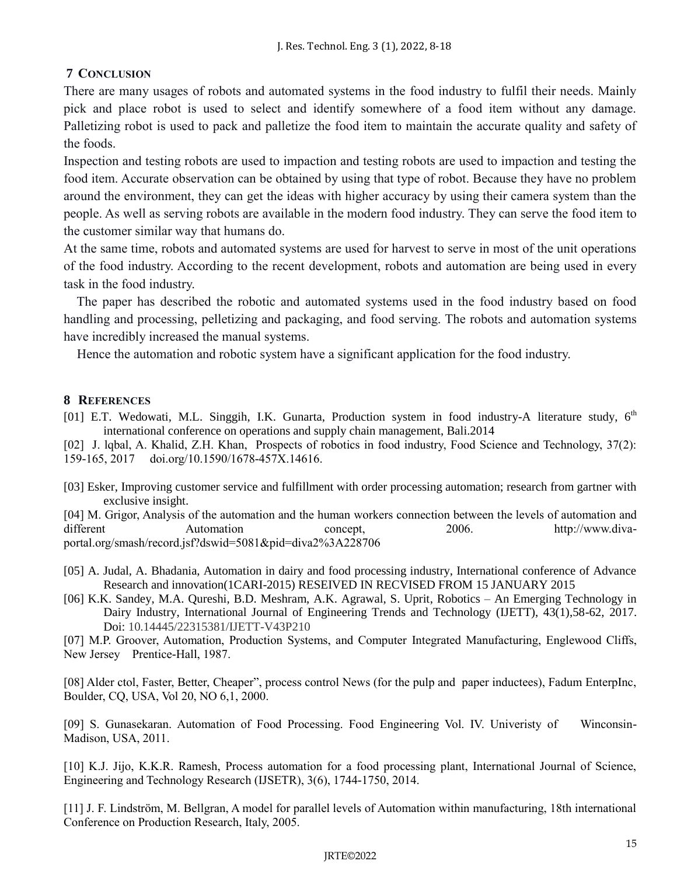# **7 CONCLUSION**

There are many usages of robots and automated systems in the food industry to fulfil their needs. Mainly pick and place robot is used to select and identify somewhere of a food item without any damage. Palletizing robot is used to pack and palletize the food item to maintain the accurate quality and safety of the foods.

Inspection and testing robots are used to impaction and testing robots are used to impaction and testing the food item. Accurate observation can be obtained by using that type of robot. Because they have no problem around the environment, they can get the ideas with higher accuracy by using their camera system than the people. As well as serving robots are available in the modern food industry. They can serve the food item to the customer similar way that humans do.

At the same time, robots and automated systems are used for harvest to serve in most of the unit operations of the food industry. According to the recent development, robots and automation are being used in every task in the food industry.

 The paper has described the robotic and automated systems used in the food industry based on food handling and processing, pelletizing and packaging, and food serving. The robots and automation systems have incredibly increased the manual systems.

Hence the automation and robotic system have a significant application for the food industry.

## **8 REFERENCES**

- [01] E.T. Wedowati, M.L. Singgih, I.K. Gunarta, Production system in food industry-A literature study, 6<sup>th</sup> international conference on operations and supply chain management, Bali.2014
- [02] J. lqbal, A. Khalid, Z.H. Khan, Prospects of robotics in food industry, Food Science and Technology, 37(2): 159-165, 2017 doi.org/10.1590/1678-457X.14616.
- [03] Esker, Improving customer service and fulfillment with order processing automation; research from gartner with exclusive insight.

[04] M. Grigor, Analysis of the automation and the human workers connection between the levels of automation and different Automation concept, 2006. http://www.divaportal.org/smash/record.jsf?dswid=5081&pid=diva2%3A228706

- [05] A. Judal, A. Bhadania, Automation in dairy and food processing industry, International conference of Advance Research and innovation(1CARI-2015) RESEIVED IN RECVISED FROM 15 JANUARY 2015
- [06] K.K. Sandey, M.A. Qureshi, B.D. Meshram, A.K. Agrawal, S. Uprit, Robotics An Emerging Technology in Dairy Industry, International Journal of Engineering Trends and Technology (IJETT), 43(1),58-62, 2017. Doi: 10.14445/22315381/IJETT-V43P210

[07] M.P. Groover, Automation, Production Systems, and Computer Integrated Manufacturing, Englewood Cliffs, New Jersey Prentice-Hall, 1987.

[08] Alder ctol, Faster, Better, Cheaper", process control News (for the pulp and paper inductees), Fadum EnterpInc, Boulder, CQ, USA, Vol 20, NO 6,1, 2000.

[09] S. Gunasekaran. Automation of Food Processing. Food Engineering Vol. IV. Univeristy of Winconsin-Madison, USA, 2011.

[10] K.J. Jijo, K.K.R. Ramesh, Process automation for a food processing plant, International Journal of Science, Engineering and Technology Research (IJSETR), 3(6), 1744-1750, 2014.

[11] J. F. Lindström, M. Bellgran, A model for parallel levels of Automation within manufacturing, 18th international Conference on Production Research, Italy, 2005.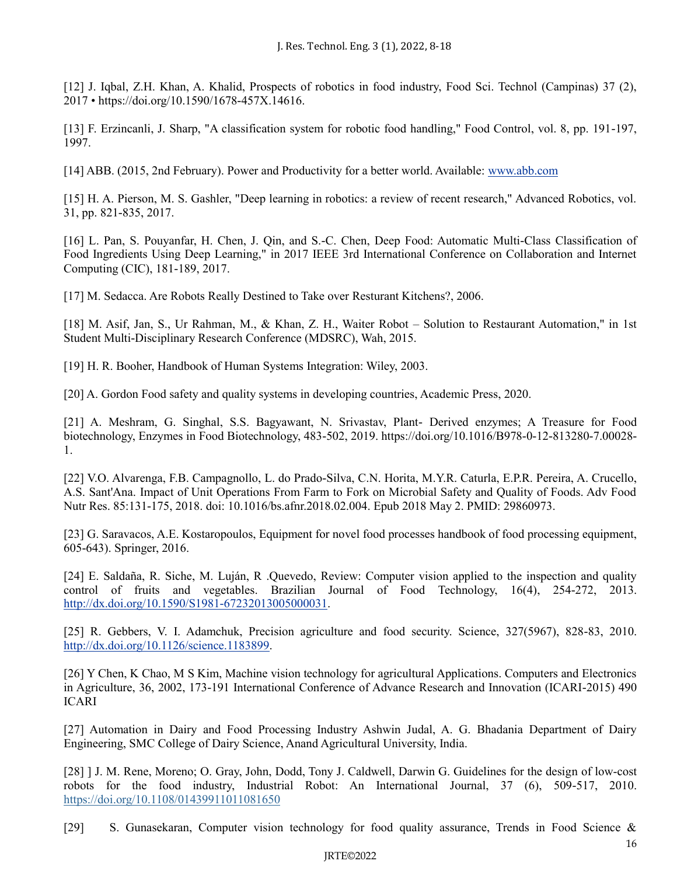[12] J. Iqbal, Z.H. Khan, A. Khalid, Prospects of robotics in food industry, Food Sci. Technol (Campinas) 37 (2), 2017 • https://doi.org/10.1590/1678-457X.14616.

[13] F. Erzincanli, J. Sharp, "A classification system for robotic food handling," Food Control, vol. 8, pp. 191-197, 1997.

[14] ABB. (2015, 2nd February). Power and Productivity for a better world. Available: [www.abb.com](http://www.abb.com/)

[15] H. A. Pierson, M. S. Gashler, "Deep learning in robotics: a review of recent research," Advanced Robotics, vol. 31, pp. 821-835, 2017.

[16] L. Pan, S. Pouyanfar, H. Chen, J. Qin, and S.-C. Chen, Deep Food: Automatic Multi-Class Classification of Food Ingredients Using Deep Learning," in 2017 IEEE 3rd International Conference on Collaboration and Internet Computing (CIC), 181-189, 2017.

[17] M. Sedacca. Are Robots Really Destined to Take over Resturant Kitchens?, 2006.

[18] M. Asif, Jan, S., Ur Rahman, M., & Khan, Z. H., Waiter Robot – Solution to Restaurant Automation," in 1st Student Multi-Disciplinary Research Conference (MDSRC), Wah, 2015.

[19] H. R. Booher, Handbook of Human Systems Integration: Wiley, 2003.

[20] A. Gordon Food safety and quality systems in developing countries, Academic Press, 2020.

[21] A. Meshram, G. Singhal, S.S. Bagyawant, N. Srivastav, Plant- Derived enzymes; A Treasure for Food biotechnology, Enzymes in Food Biotechnology, 483-502, 2019. https://doi.org/10.1016/B978-0-12-813280-7.00028- 1.

[22] V.O. Alvarenga, F.B. Campagnollo, L. do Prado-Silva, C.N. Horita, M.Y.R. Caturla, E.P.R. Pereira, A. Crucello, A.S. Sant'Ana. Impact of Unit Operations From Farm to Fork on Microbial Safety and Quality of Foods. Adv Food Nutr Res. 85:131-175, 2018. doi: 10.1016/bs.afnr.2018.02.004. Epub 2018 May 2. PMID: 29860973.

[23] G. Saravacos, A.E. Kostaropoulos, Equipment for novel food processes handbook of food processing equipment, 605-643). Springer, 2016.

[24] E. Saldaña, R. Siche, M. Luján, R .Quevedo, Review: Computer vision applied to the inspection and quality control of fruits and vegetables. Brazilian Journal of Food Technology, 16(4), 254-272, 2013. [http://dx.doi.org/10.1590/S1981-67232013005000031.](http://dx.doi.org/10.1590/S1981-67232013005000031)

[25] R. Gebbers, V. I. Adamchuk, Precision agriculture and food security. Science, 327(5967), 828-83, 2010. [http://dx.doi.org/10.1126/science.1183899.](http://dx.doi.org/10.1126/science.1183899)

[26] Y Chen, K Chao, M S Kim, Machine vision technology for agricultural Applications. Computers and Electronics in Agriculture, 36, 2002, 173-191 International Conference of Advance Research and Innovation (ICARI-2015) 490 ICARI

[27] Automation in Dairy and Food Processing Industry Ashwin Judal, A. G. Bhadania Department of Dairy Engineering, SMC College of Dairy Science, Anand Agricultural University, India.

[28] ] J. M. Rene, Moreno; O. Gray, John, Dodd, Tony J. Caldwell, Darwin G. Guidelines for the design of low-cost robots for the food industry, Industrial Robot: An International Journal, 37 (6), 509-517, 2010. <https://doi.org/10.1108/01439911011081650>

[29] S. Gunasekaran, Computer vision technology for food quality assurance, Trends in Food Science &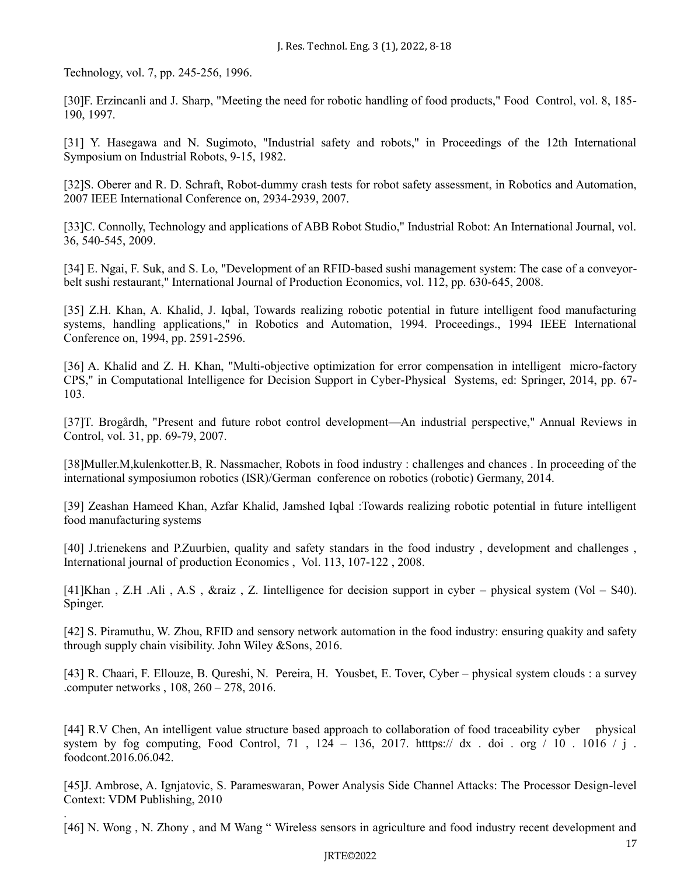Technology, vol. 7, pp. 245-256, 1996.

.

[30]F. Erzincanli and J. Sharp, "Meeting the need for robotic handling of food products," Food Control, vol. 8, 185- 190, 1997.

[31] Y. Hasegawa and N. Sugimoto, "Industrial safety and robots," in Proceedings of the 12th International Symposium on Industrial Robots, 9-15, 1982.

[32]S. Oberer and R. D. Schraft, Robot-dummy crash tests for robot safety assessment, in Robotics and Automation, 2007 IEEE International Conference on, 2934-2939, 2007.

[33]C. Connolly, Technology and applications of ABB Robot Studio," Industrial Robot: An International Journal, vol. 36, 540-545, 2009.

[34] E. Ngai, F. Suk, and S. Lo, "Development of an RFID-based sushi management system: The case of a conveyorbelt sushi restaurant," International Journal of Production Economics, vol. 112, pp. 630-645, 2008.

[35] Z.H. Khan, A. Khalid, J. Iqbal, Towards realizing robotic potential in future intelligent food manufacturing systems, handling applications," in Robotics and Automation, 1994. Proceedings., 1994 IEEE International Conference on, 1994, pp. 2591-2596.

[36] A. Khalid and Z. H. Khan, "Multi-objective optimization for error compensation in intelligent micro-factory CPS," in Computational Intelligence for Decision Support in Cyber-Physical Systems, ed: Springer, 2014, pp. 67- 103.

[37]T. Brogårdh, "Present and future robot control development—An industrial perspective," Annual Reviews in Control, vol. 31, pp. 69-79, 2007.

[38]Muller.M,kulenkotter.B, R. Nassmacher, Robots in food industry : challenges and chances . In proceeding of the international symposiumon robotics (ISR)/German conference on robotics (robotic) Germany, 2014.

[39] Zeashan Hameed Khan, Azfar Khalid, Jamshed Iqbal :Towards realizing robotic potential in future intelligent food manufacturing systems

[40] J.trienekens and P.Zuurbien, quality and safety standars in the food industry , development and challenges , International journal of production Economics , Vol. 113, 107-122 , 2008.

[41]Khan , Z.H .Ali , A.S , &raiz , Z. Iintelligence for decision support in cyber – physical system (Vol – S40). Spinger.

[42] S. Piramuthu, W. Zhou, RFID and sensory network automation in the food industry: ensuring quakity and safety through supply chain visibility. John Wiley &Sons, 2016.

[43] R. Chaari, F. Ellouze, B. Qureshi, N. Pereira, H. Yousbet, E. Tover, Cyber – physical system clouds : a survey .computer networks , 108, 260 – 278, 2016.

[44] R.V Chen, An intelligent value structure based approach to collaboration of food traceability cyber physical system by fog computing, Food Control, 71, 124 – 136, 2017. https:// dx . doi . org / 10 . 1016 / j. foodcont.2016.06.042.

[45]J. Ambrose, A. Ignjatovic, S. Parameswaran, Power Analysis Side Channel Attacks: The Processor Design-level Context: VDM Publishing, 2010

[46] N. Wong , N. Zhony , and M Wang " Wireless sensors in agriculture and food industry recent development and